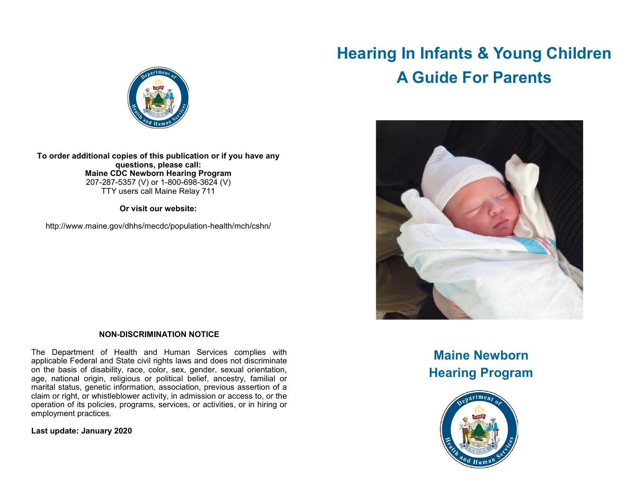# **Hearing In Infants & Young Children A Guide For Parents**





**To order additional copies of this publication or if you have any questions, please call: Maine CDC Newborn Hearing Program** 207-287-5357 (V) or 1-800-698-3624 (V) TTY users call Maine Relay 711

**Or visit our website:**

http://www.maine.gov/dhhs/mecdc/population-health/mch/cshn/

#### **NON-DISCRIMINATION NOTICE**

The Department of Health and Human Services complies with applicable Federal and State civil rights laws and does not discriminate on the basis of disability, race, color, sex, gender, sexual orientation, age, national origin, religious or political belief, ancestry, familial or marital status, genetic information, association, previous assertion of a claim or right, or whistleblower activity, in admission or access to, or the operation of its policies, programs, services, or activities, or in hiring or employment practices.

**Last update: January 2020**

## **Maine Newborn Hearing Program**

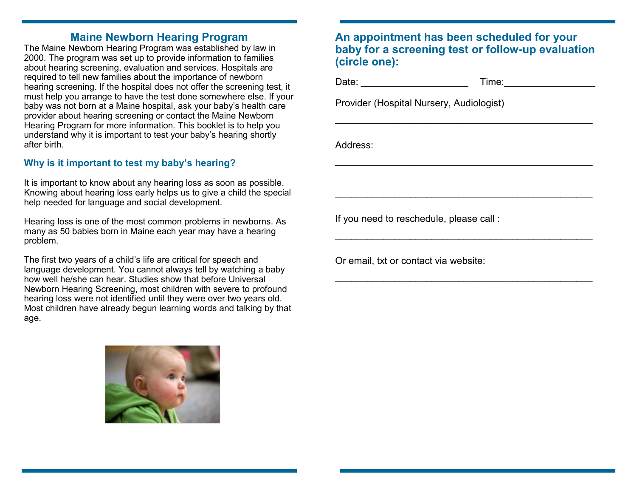### **Maine Newborn Hearing Program**

The Maine Newborn Hearing Program was established by law in 2000. The program was set up to provide information to families about hearing screening, evaluation and services. Hospitals are required to tell new families about the importance of newborn hearing screening. If the hospital does not offer the screening test, it must help you arrange to have the test done somewhere else. If your baby was not born at a Maine hospital, ask your baby's health care provider about hearing screening or contact the Maine Newborn Hearing Program for more information. This booklet is to help you understand why it is important to test your baby's hearing shortly after birth.

#### **Why is it important to test my baby's hearing?**

It is important to know about any hearing loss as soon as possible. Knowing about hearing loss early helps us to give a child the special help needed for language and social development.

Hearing loss is one of the most common problems in newborns. As many as 50 babies born in Maine each year may have a hearing problem.

The first two years of a child's life are critical for speech and language development. You cannot always tell by watching a baby how well he/she can hear. Studies show that before Universal Newborn Hearing Screening, most children with severe to profound hearing loss were not identified until they were over two years old. Most children have already begun learning words and talking by that age.



### **An appointment has been scheduled for your baby for a screening test or follow-up evaluation (circle one):**

 $\mathcal{L}_\text{max}$  , and the contract of the contract of the contract of the contract of the contract of the contract of the contract of the contract of the contract of the contract of the contract of the contract of the contr

\_\_\_\_\_\_\_\_\_\_\_\_\_\_\_\_\_\_\_\_\_\_\_\_\_\_\_\_\_\_\_\_\_\_\_\_\_\_\_\_\_\_\_\_\_\_\_\_

\_\_\_\_\_\_\_\_\_\_\_\_\_\_\_\_\_\_\_\_\_\_\_\_\_\_\_\_\_\_\_\_\_\_\_\_\_\_\_\_\_\_\_\_\_\_\_\_

\_\_\_\_\_\_\_\_\_\_\_\_\_\_\_\_\_\_\_\_\_\_\_\_\_\_\_\_\_\_\_\_\_\_\_\_\_\_\_\_\_\_\_\_\_\_\_\_

\_\_\_\_\_\_\_\_\_\_\_\_\_\_\_\_\_\_\_\_\_\_\_\_\_\_\_\_\_\_\_\_\_\_\_\_\_\_\_\_\_\_\_\_\_\_\_\_

Date: \_\_\_\_\_\_\_\_\_\_\_\_\_\_\_\_\_\_\_\_ Time:\_\_\_\_\_\_\_\_\_\_\_\_\_\_\_\_\_

Provider (Hospital Nursery, Audiologist)

Address:

If you need to reschedule, please call :

Or email, txt or contact via website: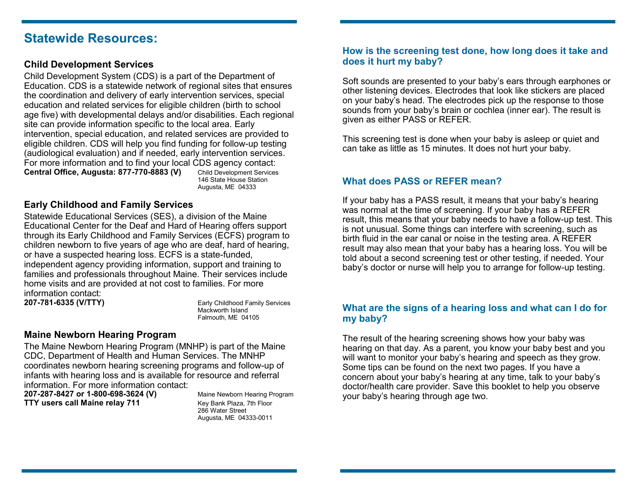### **Statewide Resources:**

#### **Child Development Services**

Child Development System (CDS) is a part of the Department of Education. CDS is a statewide network of regional sites that ensures the coordination and delivery of early intervention services, special education and related services for eligible children (birth to school age five) with developmental delays and/or disabilities. Each regional site can provide information specific to the local area. Early intervention, special education, and related services are provided to eligible children. CDS will help you find funding for follow-up testing (audiological evaluation) and if needed, early intervention services. For more information and to find your local CDS agency contact: **Central Office, Augusta: 877-770-8883 (V)** Child Development Services

 146 State House Station Augusta, ME 04333

#### **Early Childhood and Family Services**

Statewide Educational Services (SES), a division of the Maine Educational Center for the Deaf and Hard of Hearing offers support through its Early Childhood and Family Services (ECFS) program to children newborn to five years of age who are deaf, hard of hearing, or have a suspected hearing loss. ECFS is a state-funded, independent agency providing information, support and training to families and professionals throughout Maine. Their services include home visits and are provided at not cost to families. For more information contact:

**207-781-6335 (V/TTY)** Early Childhood Family Services Mackworth Island Falmouth, ME 04105

#### **Maine Newborn Hearing Program**

The Maine Newborn Hearing Program (MNHP) is part of the Maine CDC, Department of Health and Human Services. The MNHP coordinates newborn hearing screening programs and follow-up of infants with hearing loss and is available for resource and referral information. For more information contact:

**207-287-8427 or 1-800-698-3624 (V)** Maine Newborn Hearing Program **TTY users call Maine relay 711** Key Bank Plaza, 7th Floor

286 Water Street Augusta, ME 04333-0011

#### **How is the screening test done, how long does it take and does it hurt my baby?**

Soft sounds are presented to your baby's ears through earphones or other listening devices. Electrodes that look like stickers are placed on your baby's head. The electrodes pick up the response to those sounds from your baby's brain or cochlea (inner ear). The result is given as either PASS or REFER.

This screening test is done when your baby is asleep or quiet and can take as little as 15 minutes. It does not hurt your baby.

#### **What does PASS or REFER mean?**

If your baby has a PASS result, it means that your baby's hearing was normal at the time of screening. If your baby has a REFER result, this means that your baby needs to have a follow-up test. This is not unusual. Some things can interfere with screening, such as birth fluid in the ear canal or noise in the testing area. A REFER result may also mean that your baby has a hearing loss. You will be told about a second screening test or other testing, if needed. Your baby's doctor or nurse will help you to arrange for follow-up testing.

#### **What are the signs of a hearing loss and what can I do for my baby?**

The result of the hearing screening shows how your baby was hearing on that day. As a parent, you know your baby best and you will want to monitor your baby's hearing and speech as they grow. Some tips can be found on the next two pages. If you have a concern about your baby's hearing at any time, talk to your baby's doctor/health care provider. Save this booklet to help you observe your baby's hearing through age two.